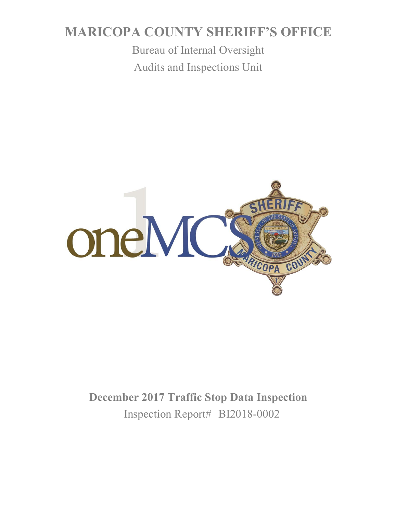# **MARICOPA COUNTY SHERIFF'S OFFICE**

Bureau of Internal Oversight Audits and Inspections Unit



**December 2017 Traffic Stop Data Inspection** Inspection Report# BI2018-0002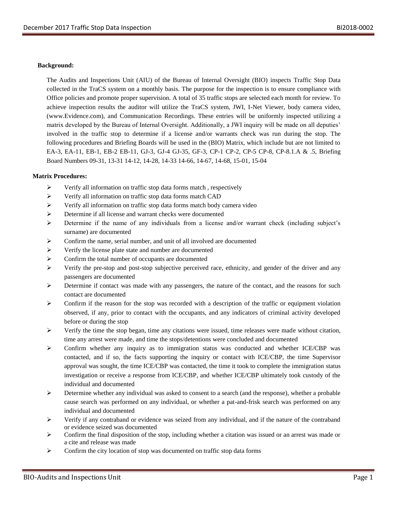#### **Background:**

The Audits and Inspections Unit (AIU) of the Bureau of Internal Oversight (BIO) inspects Traffic Stop Data collected in the TraCS system on a monthly basis. The purpose for the inspection is to ensure compliance with Office policies and promote proper supervision. A total of 35 traffic stops are selected each month for review. To achieve inspection results the auditor will utilize the TraCS system, JWI, I-Net Viewer, body camera video, (www.Evidence.com), and Communication Recordings. These entries will be uniformly inspected utilizing a matrix developed by the Bureau of Internal Oversight. Additionally, a JWI inquiry will be made on all deputies' involved in the traffic stop to determine if a license and/or warrants check was run during the stop. The following procedures and Briefing Boards will be used in the (BIO) Matrix, which include but are not limited to EA-3, EA-11, EB-1, EB-2 EB-11, GJ-3, GJ-4 GJ-35, GF-3, CP-1 CP-2, CP-5 CP-8, CP-8.1.A & .5, Briefing Board Numbers 09-31, 13-31 14-12, 14-28, 14-33 14-66, 14-67, 14-68, 15-01, 15-04

#### **Matrix Procedures:**

- $\triangleright$  Verify all information on traffic stop data forms match, respectively
- Verify all information on traffic stop data forms match CAD
- $\triangleright$  Verify all information on traffic stop data forms match body camera video
- Determine if all license and warrant checks were documented
- $\triangleright$  Determine if the name of any individuals from a license and/or warrant check (including subject's surname) are documented
- $\triangleright$  Confirm the name, serial number, and unit of all involved are documented
- $\triangleright$  Verify the license plate state and number are documented
- Confirm the total number of occupants are documented
- $\triangleright$  Verify the pre-stop and post-stop subjective perceived race, ethnicity, and gender of the driver and any passengers are documented
- $\triangleright$  Determine if contact was made with any passengers, the nature of the contact, and the reasons for such contact are documented
- $\triangleright$  Confirm if the reason for the stop was recorded with a description of the traffic or equipment violation observed, if any, prior to contact with the occupants, and any indicators of criminal activity developed before or during the stop
- $\triangleright$  Verify the time the stop began, time any citations were issued, time releases were made without citation, time any arrest were made, and time the stops/detentions were concluded and documented
- $\triangleright$  Confirm whether any inquiry as to immigration status was conducted and whether ICE/CBP was contacted, and if so, the facts supporting the inquiry or contact with ICE/CBP, the time Supervisor approval was sought, the time ICE/CBP was contacted, the time it took to complete the immigration status investigation or receive a response from ICE/CBP, and whether ICE/CBP ultimately took custody of the individual and documented
- $\triangleright$  Determine whether any individual was asked to consent to a search (and the response), whether a probable cause search was performed on any individual, or whether a pat-and-frisk search was performed on any individual and documented
- $\triangleright$  Verify if any contraband or evidence was seized from any individual, and if the nature of the contraband or evidence seized was documented
- $\triangleright$  Confirm the final disposition of the stop, including whether a citation was issued or an arrest was made or a cite and release was made
- $\triangleright$  Confirm the city location of stop was documented on traffic stop data forms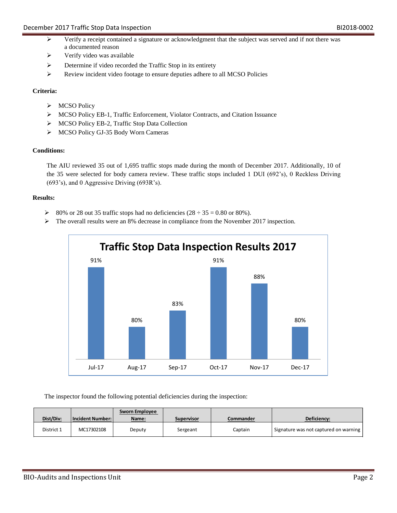- $\triangleright$  Verify a receipt contained a signature or acknowledgment that the subject was served and if not there was a documented reason
- $\triangleright$  Verify video was available
- Determine if video recorded the Traffic Stop in its entirety
- Review incident video footage to ensure deputies adhere to all MCSO Policies

## **Criteria:**

- > MCSO Policy
- MCSO Policy EB-1, Traffic Enforcement, Violator Contracts, and Citation Issuance
- MCSO Policy EB-2, Traffic Stop Data Collection
- MCSO Policy GJ-35 Body Worn Cameras

## **Conditions:**

The AIU reviewed 35 out of 1,695 traffic stops made during the month of December 2017. Additionally, 10 of the 35 were selected for body camera review. These traffic stops included 1 DUI (692's), 0 Reckless Driving (693's), and 0 Aggressive Driving (693R's).

## **Results:**

- $\geq$  80% or 28 out 35 traffic stops had no deficiencies (28 ÷ 35 = 0.80 or 80%).
- $\triangleright$  The overall results were an 8% decrease in compliance from the November 2017 inspection.



The inspector found the following potential deficiencies during the inspection:

|            |                  | Sworn Employee |                   |           |                                       |
|------------|------------------|----------------|-------------------|-----------|---------------------------------------|
| Dist/Div:  | Incident Number: | Name:          | <b>Supervisor</b> | Commander | Deficiency:                           |
| District 1 | MC17302108       | Deputy         | Sergeant          | Captain   | Signature was not captured on warning |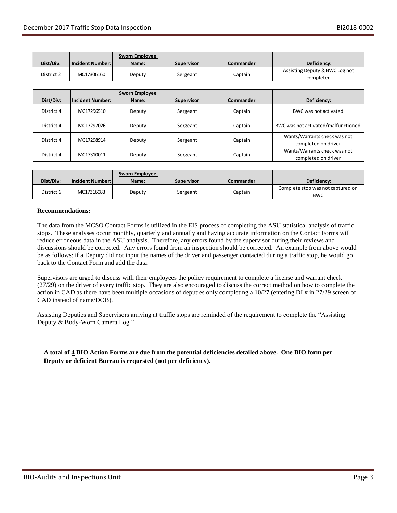| Dist/Div:  | <b>Incident Number:</b> | <b>Sworn Employee</b><br><u>Name:</u> | <b>Supervisor</b> | Commander | Deficiency:                                 |
|------------|-------------------------|---------------------------------------|-------------------|-----------|---------------------------------------------|
| District 2 | MC17306160              | Deputy                                | Sergeant          | Captain   | Assisting Deputy & BWC Log not<br>completed |

|            |                         | Sworn Employee |                   |                  |                                     |
|------------|-------------------------|----------------|-------------------|------------------|-------------------------------------|
| Dist/Div:  | <b>Incident Number:</b> | Name:          | <b>Supervisor</b> | <b>Commander</b> | Deficiency:                         |
| District 4 | MC17296510              | Deputy         | Sergeant          | Captain          | BWC was not activated               |
| District 4 | MC17297026              | Deputy         | Sergeant          | Captain          | BWC was not activated/malfunctioned |
| District 4 | MC17298914              | Deputy         | Sergeant          | Captain          | Wants/Warrants check was not        |
|            |                         |                |                   |                  | completed on driver                 |
| District 4 | MC17310011              | Deputy         | Sergeant          | Captain          | Wants/Warrants check was not        |
|            |                         |                |                   |                  | completed on driver                 |

| Dist/Div:  | <b>Incident Number:</b> I | <b>Sworn Employee</b><br>Name: | <b>Supervisor</b> | Commander | Deficiency:                                     |
|------------|---------------------------|--------------------------------|-------------------|-----------|-------------------------------------------------|
| District 6 | MC17316083                | Deputy                         | Sergeant          | Captain   | Complete stop was not captured on<br><b>BWC</b> |

#### **Recommendations:**

The data from the MCSO Contact Forms is utilized in the EIS process of completing the ASU statistical analysis of traffic stops. These analyses occur monthly, quarterly and annually and having accurate information on the Contact Forms will reduce erroneous data in the ASU analysis. Therefore, any errors found by the supervisor during their reviews and discussions should be corrected. Any errors found from an inspection should be corrected. An example from above would be as follows: if a Deputy did not input the names of the driver and passenger contacted during a traffic stop, he would go back to the Contact Form and add the data.

Supervisors are urged to discuss with their employees the policy requirement to complete a license and warrant check (27/29) on the driver of every traffic stop. They are also encouraged to discuss the correct method on how to complete the action in CAD as there have been multiple occasions of deputies only completing a 10/27 (entering DL# in 27/29 screen of CAD instead of name/DOB).

Assisting Deputies and Supervisors arriving at traffic stops are reminded of the requirement to complete the "Assisting Deputy & Body-Worn Camera Log."

## **A total of 4 BIO Action Forms are due from the potential deficiencies detailed above. One BIO form per Deputy or deficient Bureau is requested (not per deficiency).**